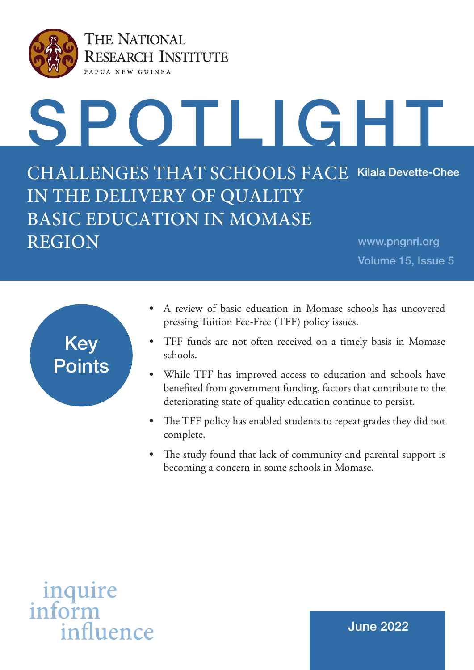

THE NATIONAL **RESEARCH INSTITUTE** PAPUA NEW GUINEA

# SPOTLIGHT

CHALLENGES THAT SCHOOLS FACE Kilala Devette-Chee IN THE DELIVERY OF QUALITY BASIC EDUCATION IN MOMASE REGION www.pngnri.org

Volume 15, Issue 5



- A review of basic education in Momase schools has uncovered pressing Tuition Fee-Free (TFF) policy issues.
- TFF funds are not often received on a timely basis in Momase schools.
- While TFF has improved access to education and schools have benefited from government funding, factors that contribute to the deteriorating state of quality education continue to persist.
- The TFF policy has enabled students to repeat grades they did not complete.
- The study found that lack of community and parental support is becoming a concern in some schools in Momase.

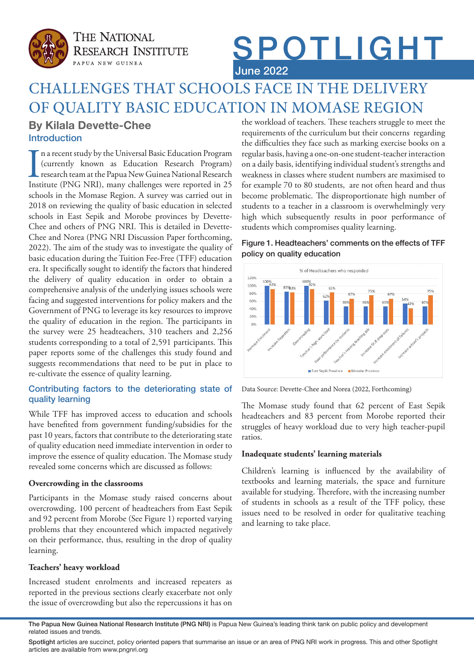

**THE NATIONAL RESEARCH INSTITUTE** PAPUA NEW GUINEA

# SPOTLIGHT June 2022

# CHALLENGES THAT SCHOOLS FACE IN THE DELIVERY OF QUALITY BASIC EDUCATION IN MOMASE REGION

# Introduction **By Kilala Devette-Chee**

In a recent study by the Universal Basic Education Program (currently known as Education Research Program) research team at the Papua New Guinea National Research Institute (PNG NRI), many challenges were reported in 25 n a recent study by the Universal Basic Education Program (currently known as Education Research Program) research team at the Papua New Guinea National Research schools in the Momase Region. A survey was carried out in 2018 on reviewing the quality of basic education in selected schools in East Sepik and Morobe provinces by Devette-Chee and others of PNG NRI. This is detailed in Devette-Chee and Norea (PNG NRI Discussion Paper forthcoming, 2022). The aim of the study was to investigate the quality of basic education during the Tuition Fee-Free (TFF) education era. It specifically sought to identify the factors that hindered the delivery of quality education in order to obtain a comprehensive analysis of the underlying issues schools were facing and suggested interventions for policy makers and the Government of PNG to leverage its key resources to improve the quality of education in the region. The participants in the survey were 25 headteachers, 310 teachers and 2,256 students corresponding to a total of 2,591 participants. This paper reports some of the challenges this study found and suggests recommendations that need to be put in place to re-cultivate the essence of quality learning.

# Contributing factors to the deteriorating state of quality learning

While TFF has improved access to education and schools have benefited from government funding/subsidies for the past 10 years, factors that contribute to the deteriorating state of quality education need immediate intervention in order to improve the essence of quality education. The Momase study revealed some concerns which are discussed as follows:

# **Overcrowding in the classrooms**

Participants in the Momase study raised concerns about overcrowding. 100 percent of headteachers from East Sepik and 92 percent from Morobe (See Figure 1) reported varying problems that they encountered which impacted negatively on their performance, thus, resulting in the drop of quality learning.

# **Teachers' heavy workload**

Increased student enrolments and increased repeaters as reported in the previous sections clearly exacerbate not only the issue of overcrowding but also the repercussions it has on the workload of teachers. These teachers struggle to meet the requirements of the curriculum but their concerns regarding the difficulties they face such as marking exercise books on a regular basis, having a one-on-one student-teacher interaction on a daily basis, identifying individual student's strengths and weakness in classes where student numbers are maximised to for example 70 to 80 students, are not often heard and thus become problematic. The disproportionate high number of students to a teacher in a classroom is overwhelmingly very high which subsequently results in poor performance of students which compromises quality learning.

# Figure 1. Headteachers' comments on the effects of TFF policy on quality education



Data Source: Devette-Chee and Norea (2022, Forthcoming)

The Momase study found that 62 percent of East Sepik headteachers and 83 percent from Morobe reported their struggles of heavy workload due to very high teacher-pupil ratios.

# **Inadequate students' learning materials**

Children's learning is influenced by the availability of textbooks and learning materials, the space and furniture available for studying. Therefore, with the increasing number of students in schools as a result of the TFF policy, these issues need to be resolved in order for qualitative teaching and learning to take place.

The Papua New Guinea National Research Institute (PNG NRI) is Papua New Guinea's leading think tank on public policy and development related issues and trends.

Spotlight articles are succinct, policy oriented papers that summarise an issue or an area of PNG NRI work in progress. This and other Spotlight articles are available from www.pngnri.org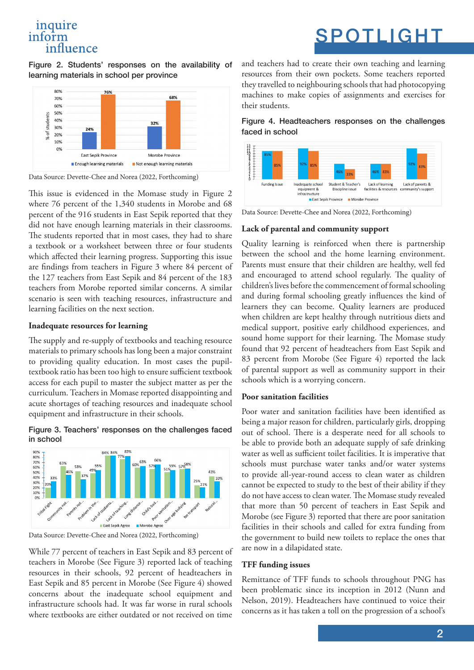# inquire inform influence

# SPOTLIGHT

Figure 2. Students' responses on the availability of learning materials in school per province



Data Source: Devette-Chee and Norea (2022, Forthcoming)

This issue is evidenced in the Momase study in Figure 2 where 76 percent of the 1,340 students in Morobe and 68 percent of the 916 students in East Sepik reported that they did not have enough learning materials in their classrooms. The students reported that in most cases, they had to share a textbook or a worksheet between three or four students which affected their learning progress. Supporting this issue are findings from teachers in Figure 3 where 84 percent of the 127 teachers from East Sepik and 84 percent of the 183 teachers from Morobe reported similar concerns. A similar scenario is seen with teaching resources, infrastructure and learning facilities on the next section.

# **Inadequate resources for learning**

The supply and re-supply of textbooks and teaching resource materials to primary schools has long been a major constraint to providing quality education. In most cases the pupiltextbook ratio has been too high to ensure sufficient textbook access for each pupil to master the subject matter as per the curriculum. Teachers in Momase reported disappointing and acute shortages of teaching resources and inadequate school equipment and infrastructure in their schools.

#### Figure 3. Teachers' responses on the challenges faced in school



Data Source: Devette-Chee and Norea (2022, Forthcoming)

While 77 percent of teachers in East Sepik and 83 percent of teachers in Morobe (See Figure 3) reported lack of teaching resources in their schools, 92 percent of headteachers in East Sepik and 85 percent in Morobe (See Figure 4) showed concerns about the inadequate school equipment and infrastructure schools had. It was far worse in rural schools where textbooks are either outdated or not received on time

and teachers had to create their own teaching and learning resources from their own pockets. Some teachers reported they travelled to neighbouring schools that had photocopying machines to make copies of assignments and exercises for their students.

Figure 4. Headteachers responses on the challenges faced in school



Data Source: Devette-Chee and Norea (2022, Forthcoming)

#### **Lack of parental and community support**

Quality learning is reinforced when there is partnership between the school and the home learning environment. Parents must ensure that their children are healthy, well fed and encouraged to attend school regularly. The quality of children's lives before the commencement of formal schooling and during formal schooling greatly influences the kind of learners they can become. Quality learners are produced when children are kept healthy through nutritious diets and medical support, positive early childhood experiences, and sound home support for their learning. The Momase study found that 92 percent of headteachers from East Sepik and 83 percent from Morobe (See Figure 4) reported the lack of parental support as well as community support in their schools which is a worrying concern.

# **Poor sanitation facilities**

Poor water and sanitation facilities have been identified as being a major reason for children, particularly girls, dropping out of school. There is a desperate need for all schools to be able to provide both an adequate supply of safe drinking water as well as sufficient toilet facilities. It is imperative that schools must purchase water tanks and/or water systems to provide all-year-round access to clean water as children cannot be expected to study to the best of their ability if they do not have access to clean water. The Momase study revealed that more than 50 percent of teachers in East Sepik and Morobe (see Figure 3) reported that there are poor sanitation facilities in their schools and called for extra funding from the government to build new toilets to replace the ones that are now in a dilapidated state.

#### **TFF funding issues**

Remittance of TFF funds to schools throughout PNG has been problematic since its inception in 2012 (Nunn and Nelson, 2019). Headteachers have continued to voice their concerns as it has taken a toll on the progression of a school's